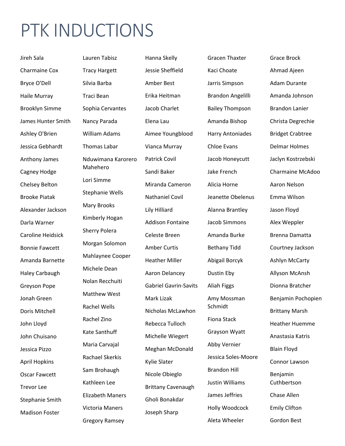## PTK INDUCTIONS

Jireh Sala Charmaine Cox Bryce O'Dell Haile Murray Brooklyn Simme James Hunter Smith Ashley O'Brien Jessica Gebhardt Anthony James Cagney Hodge Chelsey Belton Brooke Piatak Alexander Jackson Darla Warner Caroline Heidsick Bonnie Fawcett Amanda Barnette Haley Carbaugh Greyson Pope Jonah Green Doris Mitchell John Lloyd John Chuisano Jessica Pizzo April Hopkins Oscar Fawcett Trevor Lee Stephanie Smith Madison Foster

Lauren Tabisz Tracy Hargett Silvia Barba Traci Bean Sophia Cervantes Nancy Parada William Adams Thomas Labar Nduwimana Karorero Mahehero Lori Simme Stephanie Wells Mary Brooks Kimberly Hogan Sherry Polera Morgan Solomon Mahlaynee Cooper Michele Dean Nolan Recchuiti Matthew West Rachel Wells Rachel Zino Kate Santhuff Maria Carvajal Rachael Skerkis Sam Brohaugh Kathleen Lee Elizabeth Maners Victoria Maners Gregory Ramsey

**Heather Miller** Hanna Skelly **Gracen Thaxter** Jessie Sheffield Kaci Choate Ahmad Ajeen Amber Best **Jarris Simpson** Adam Durante Erika Heitman Brandon Angelilli Amanda Johnson Jacob Charlet **Bailey Thompson** Brandon Lanier Elena Lau Amanda Bishop Christa Degrechie Aimee Youngblood Harry Antoniades Bridget Crabtree Vianca Murray **Chloe Evans** Delmar Holmes Patrick Covil Jacob Honeycutt Jaclyn Kostrzebski Miranda Cameron Alicia Horne Aaron Nelson Nathaniel Covil Jeanette Obelenus Emma Wilson Lily Hilliard Alanna Brantley Jason Floyd Addison Fontaine Jacob Simmons Alex Weppler Celeste Breen Mamanda Burke Brenna Damatta Amber Curtis **Bethany Tidd** Courtney Jackson Aaron Delancey **Dustin Eby Allyson McAnsh** Gabriel Gavrin-Savits Aliah Figgs **Dionna Bratcher** Nicholas McLawhon Rebecca Tulloch Michelle Wiegert Grayson Wyatt Anastasia Katris Meghan McDonald **Abby Vernier** Blain Floyd Kylie Slater Nicole Obieglo Brittany Cavenaugh Gholi Bonakdar Joseph Sharp Holly Woodcock Emily Clifton

Abigail Borcyk Ashlyn McCarty Schmidt Fiona Stack Jessica Soles‐Moore Brandon Hill Justin Williams Cuthbertson James Jeffries Chase Allen Aleta Wheeler Gordon Best

Grace Brock Heather Huemme Sandi Baker Jake French Charmaine McAdoo Mark Lizak **Amy Mossman** Benjamin Pochopien Brittany Marsh Connor Lawson Benjamin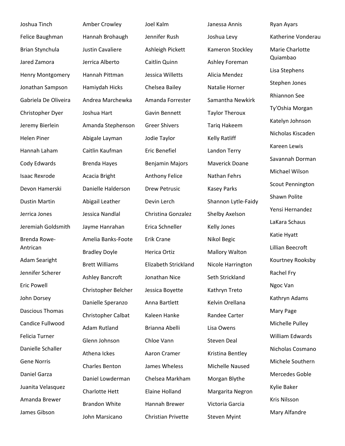Joshua Tinch Amber Crowley Joel Kalm Janessa Annis Ryan Ayars Brian Stynchula Justin Cavaliere Ashleigh Pickett Kameron Stockley Marie Charlotte Jared Zamora Jerrica Alberto Caitlin Quinn Ashley Foreman Quiambao Henry Montgomery Hannah Pittman Jessica Willetts Alicia Mendez Lisa Stephens Jonathan Sampson Hamiydah Hicks Chelsea Bailey Natalie Horner Stephen Jones Gabriela De Oliveira Andrea Marchewka Amanda Forrester Samantha Newkirk Christopher Dyer Joshua Hart Gavin Bennett Taylor Theroux Ty'Oshia Morgan Jeremy Bierlein Amanda Stephenson Greer Shivers Tariq Hakeem Katelyn Johnson Helen Piner Abigale Layman Jodie Taylor Kelly Ratliff Hannah Laham Caitlin Kaufman Eric Benefiel Landon Terry Cody Edwards Brenda Hayes Benjamin Majors Maverick Doane Isaac Rexrode Acacia Bright Anthony Felice Nathan Fehrs Devon Hamerski Danielle Halderson Drew Petrusic Kasey Parks Scout Pennington Dustin Martin Abigail Leather Devin Lerch Shannon Lytle-Faidy Jerrica Jones Jessica Nandlal Christina Gonzalez Shelby Axelson Jeremiah Goldsmith Jayme Hanrahan Erica Schneller Kelly Jones Brenda Rowe‐ 
Natie Hyatt Crane III Crane Nikol Begic Katie Hyatt Crane Nikol Begic Antrican Jennifer Scherer Eric Powell John Dorsey Danielle Speranzo Anna Bartlett Kelvin Orellana Kathryn Adams Dascious Thomas Candice Fullwood Felicia Turner Danielle Schaller Gene Norris Daniel Garza Juanita Velasquez Charlotte Hett Elaine Holland Margarita Negron Kylie Baker Amanda Brewer James Gibson

Bradley Doyle **Herica Ortiz** Mallory Walton Glenn Johnson Chloe Vann Steven Deal Daniel Lowderman Chelsea Markham Morgan Blythe Brandon White Hannah Brewer Victoria Garcia

Rachel Fry<br>Ashley Bancroft Jonathan Nice Seth Strickland Christopher Belcher Jessica Boyette Kathryn Treto Ngoc Van Christopher Calbat Kaleen Hanke Randee Carter Mary Page Adam Rutland Brianna Abelli Lisa Owens Michelle Pulley Athena Ickes **Aaron Cramer** Kristina Bentley Charles Benton James Wheless Michelle Naused John Marsicano Christian Privette Steven Myint Mary Alfandre

 Rhiannon See Michele Southern Felice Baughman Hannah Brohaugh Jennifer Rush Joshua Levy Katherine Vonderau Nicholas Kiscaden Kareen Lewis Savannah Dorman Michael Wilson Shawn Polite Yensi Hernandez LaKara Schaus Lillian Beecroft Adam Searight Brett Williams Elizabeth Strickland Nicole Harrington Kourtney Rooksby William Edwards Nicholas Cosmano Mercedes Goble Kris Nilsson